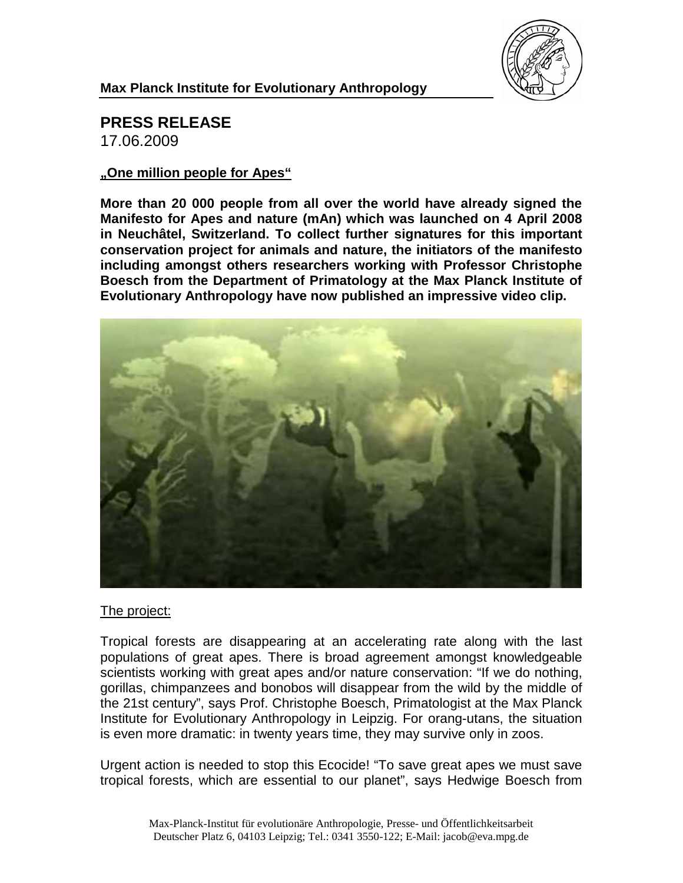

#### **Max Planck Institute for Evolutionary Anthropology**

## **PRESS RELEASE**

17.06.2009

#### **"One million people for Apes"**

**More than 20 000 people from all over the world have already signed the Manifesto for Apes and nature (mAn) which was launched on 4 April 2008 in Neuchâtel, Switzerland. To collect further signatures for this important conservation project for animals and nature, the initiators of the manifesto including amongst others researchers working with Professor Christophe Boesch from the Department of Primatology at the Max Planck Institute of Evolutionary Anthropology have now published an impressive video clip.**



### The project:

Tropical forests are disappearing at an accelerating rate along with the last populations of great apes. There is broad agreement amongst knowledgeable scientists working with great apes and/or nature conservation: "If we do nothing, gorillas, chimpanzees and bonobos will disappear from the wild by the middle of the 21st century", says Prof. Christophe Boesch, Primatologist at the Max Planck Institute for Evolutionary Anthropology in Leipzig. For orang-utans, the situation is even more dramatic: in twenty years time, they may survive only in zoos.

Urgent action is needed to stop this Ecocide! "To save great apes we must save tropical forests, which are essential to our planet", says Hedwige Boesch from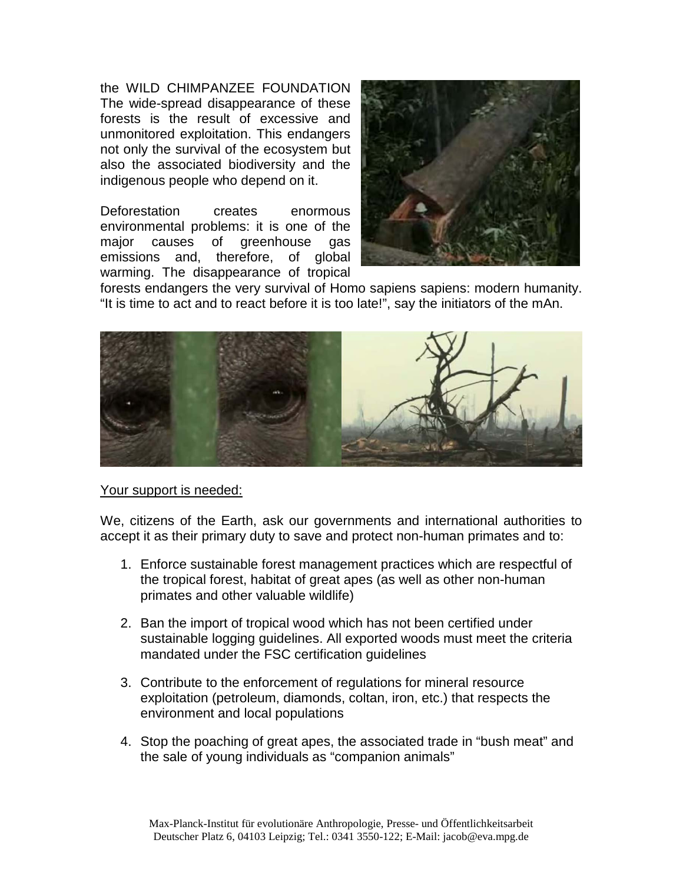the WILD CHIMPANZEE FOUNDATION The wide-spread disappearance of these forests is the result of excessive and unmonitored exploitation. This endangers not only the survival of the ecosystem but also the associated biodiversity and the indigenous people who depend on it.

Deforestation creates enormous environmental problems: it is one of the major causes of greenhouse gas emissions and, therefore, of global warming. The disappearance of tropical



forests endangers the very survival of Homo sapiens sapiens: modern humanity. "It is time to act and to react before it is too late!", say the initiators of the mAn.



#### Your support is needed:

We, citizens of the Earth, ask our governments and international authorities to accept it as their primary duty to save and protect non-human primates and to:

- 1. Enforce sustainable forest management practices which are respectful of the tropical forest, habitat of great apes (as well as other non-human primates and other valuable wildlife)
- 2. Ban the import of tropical wood which has not been certified under sustainable logging guidelines. All exported woods must meet the criteria mandated under the FSC certification guidelines
- 3. Contribute to the enforcement of regulations for mineral resource exploitation (petroleum, diamonds, coltan, iron, etc.) that respects the environment and local populations
- 4. Stop the poaching of great apes, the associated trade in "bush meat" and the sale of young individuals as "companion animals"